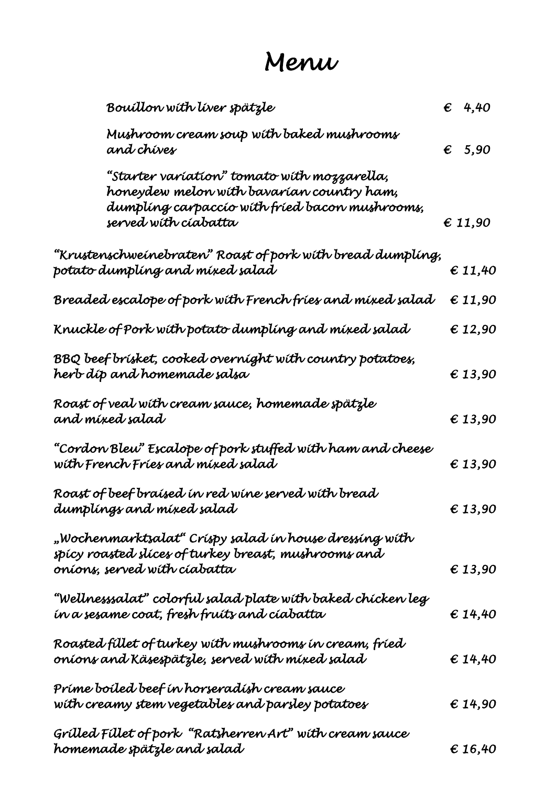## *Menu*

| Bouillon with liver spätzle                                                                                                                                        | $\epsilon$ 4,40               |
|--------------------------------------------------------------------------------------------------------------------------------------------------------------------|-------------------------------|
| Mushroom cream soup with baked mushrooms<br>and chives                                                                                                             | $\epsilon$ 5,90               |
| "Starter varíatíon" tomato wíth mozzarella,<br>honeydew melon wíth bavarían country ham,<br>dumpling carpaccio with fried bacon mushrooms,<br>served wíth cíabatta | $\epsilon$ 11,90              |
| "Krustenschweinebraten" Roast of pork with bread dumpling,<br>potato dumpling and mixed salad                                                                      | $\epsilon$ 11,40              |
| Breaded escalope of pork with French fries and mixed salad                                                                                                         | $\boldsymbol{\epsilon}$ 11,90 |
| Knuckle of Pork with potato dumpling and mixed salad                                                                                                               | $\boldsymbol{\epsilon}$ 12,90 |
| BBQ beef brísket, cooked overníght wíth country potatoes,<br>herb díp and homemade salsa                                                                           | $\epsilon$ 13,90              |
| Roast of veal with cream sauce, homemade spätzle<br>and mixed salad                                                                                                | $\epsilon$ 13,90              |
| "Cordon Bleu" Escalope of pork stuffed with ham and cheese<br>wíth French Fríes and míxed salad                                                                    | $\epsilon$ 13,90              |
| Roast of beef braised in red wine served with bread<br>dumplings and mixed salad                                                                                   | $\epsilon$ 13,90              |
| "Wochenmarktsalat" Críspy salad ín house dressíng wíth<br>spicy roasted slices of turkey breast, mushrooms and<br>oníons, served wíth cíabatta                     | $\epsilon$ 13,90              |
| "Wellnesssalat" colorful salad plate with baked chicken leg<br>in a sesame coat, fresh fruits and ciabatta                                                         | \$14,40                       |
| Roasted fillet of turkey with mushrooms in cream, fried<br>onions and Käsespätzle, served with mixed salad                                                         | \$14,40                       |
| Prime boiled beef in horseradish cream sauce<br>with creamy stem vegetables and parsley potatoes                                                                   | $\epsilon$ 14,90              |
| Grilled Fillet of pork "Ratsherren Art" with cream sauce<br>homemade spätzle and salad                                                                             | €16,40                        |